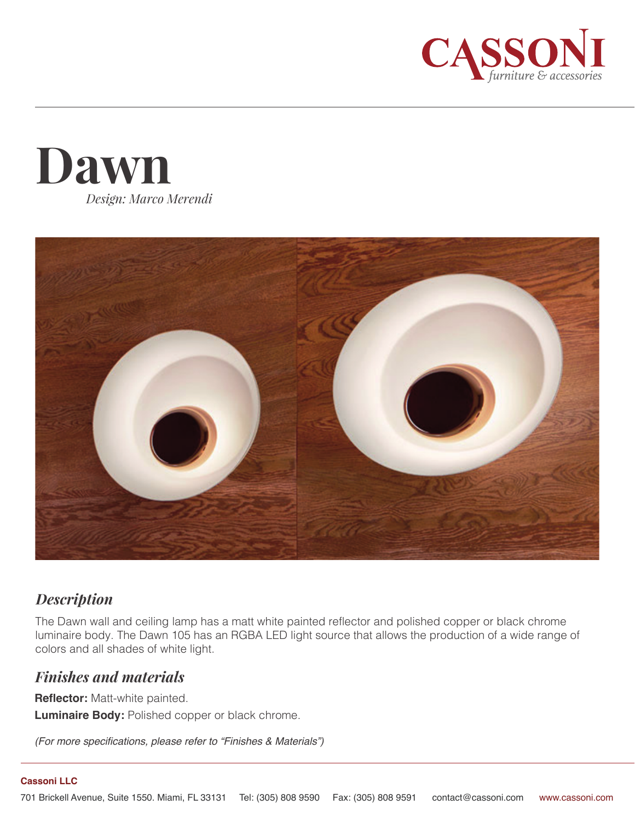





## *Description*

The Dawn wall and ceiling lamp has a matt white painted reflector and polished copper or black chrome luminaire body. The Dawn 105 has an RGBA LED light source that allows the production of a wide range of colors and all shades of white light.

## *Finishes and materials*

**Reflector:** Matt-white painted. **Luminaire Body:** Polished copper or black chrome.

*(For more specifications, please refer to "Finishes & Materials")*

## **Cassoni LLC**